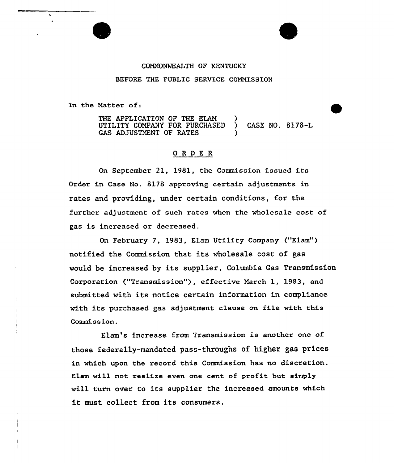## COMMONWEALTH OF KENTUCKY

#### BEFORE THE PUBLIC SERVICE COMMISSION

In the Matter of:

THE APPLICATION OF THE ELAM UTILITY COMPANY FOR PURCHASED ) CASE NO. 8178-L GAS ADJUSTMENT OF RATES

### ORDER

On September 21, 1981, the Commission issued its Order in Case No. 8178 approving certain adjustments in rates and pxoviding, under certain conditions, for the further adjustment of suck rates when the wholesale cost of gas is increased ox decreased.

On February 7, 1983, Elam Utility Company ("Elam") notified the Commission that its wholesale cost of gas would be increased by its supplier, Columbia Gas Transmission Corporation ("Transmission"), effective March 1, 1983, and submitted with its notice certain information in compliance with its purchased gas adjustment clause on file with this Commission.

Elam's increase from Transmission is another one of those federally-mandated pass-throughs of higher gas prices in which upon the record this Commission has no discretion. Elam will not realize even one cent of profit but simply will turn over to its supplier the increased amounts which it must collect from its consumers.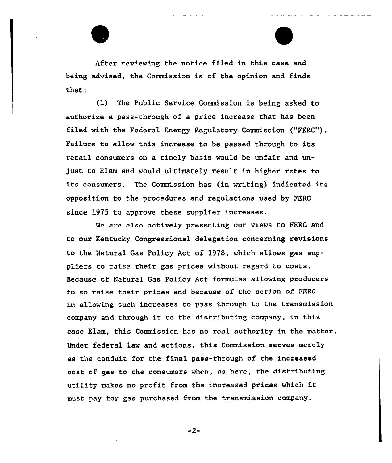After reviewing the notice filed in this case and being advised, the Commission is of the opinion and finds that:

(1) The Public Service Commission is being asked to authorize a pass-thxough of a price increase that has been filed with the Federal Energy Regulatory Commission ("FERC"). Failure to allow this increase to be passed through to its retail consumers on a timely basis would be unfair and unjust to Elam and would ultimately result in higher rates to its consumers. The Commission has {in writing) indicated its opposition to the procedures and regulations used by FERC since 1975 to approve these supplier increases.

We are also actively presenting our views to FERC and to our Kentucky Congressional delegation concerning revisions to the Natural Gas Policy Act of 1978, which allows gas suppliers to raise their gas prices without regard to costs. Because of Natural Gas Policy Act formulas allowing producers to so raise their prices and because of the action of FERG in allowing such increases to pass through to the transmission company and thxough it to the distributing company, in this case Elam, this Commission has no real authority in the matter. Under federal law and actions, this Commission serves merely as the conduit for the final pass-through of the increased cost of gas to the consumers when, as here, the distributing utility makes no profit from the increased prices which it must pay for gas purchased from the transmission company.

 $-2-$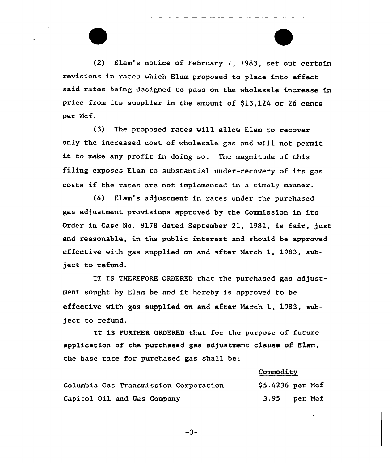(2) Elam's notice of February 7, 1983, set out certain revisions in xates which Elam pxoposed to place into effect said rates being designed to pass on the wholesale increase in price from its supplier in the amount of \$13,124 or 26 cents per Ncf.

 $(3)$  The proposed rates will allow Elam to recover only the increased cost of wholesale gas and will not permit it to make any profit in doing so. The magnitude of this filing exposes Elam to substantial under-recovery of its gas costs if the rates are not implemented in a timely manner.

(4) Elam's adjustment in rates under the purchased gas adjustment provisions approved by the Commission in its Order in Case No. 8178 dated September 21, 1981, is fair, just and reasonable, in the public interest and should be approved effective with gas supplied on and after March 1. 1983, subject to refund.

IT IS THEREFORE ORDERED that the purchased gas adjustment sought hy Elam be and it hereby is approved to be effective with gas supplied on and after March 1, 1983, subject to refund.

IT IS FURTHER ORDERED that fox the purpose of future application of the purchased gas adjustment clause of Elam, the base rate for purchased gas shall be:

#### Commodity

| Columbia Gas Transmission Corporation | $$5.4236$ per Mcf |  |
|---------------------------------------|-------------------|--|
| Capitol Oil and Gas Company           | 3.95 per Mcf      |  |

 $-3-$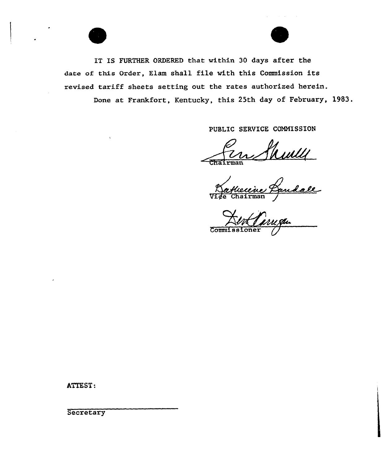IT IS FURTHER ORDERED that within 30 days after the date of this Order, Elam shall file with this Commission its revised tariff sheets setting out the rates authorized herein. Done at Frankfort, Kentucky, this 25th day of February, 1983.

PUBLIC SERVICE COMMISSION

~nairman

Vin Shull

 $\overline{\text{Comm}}$ 

ATTEST:

**Secretary**